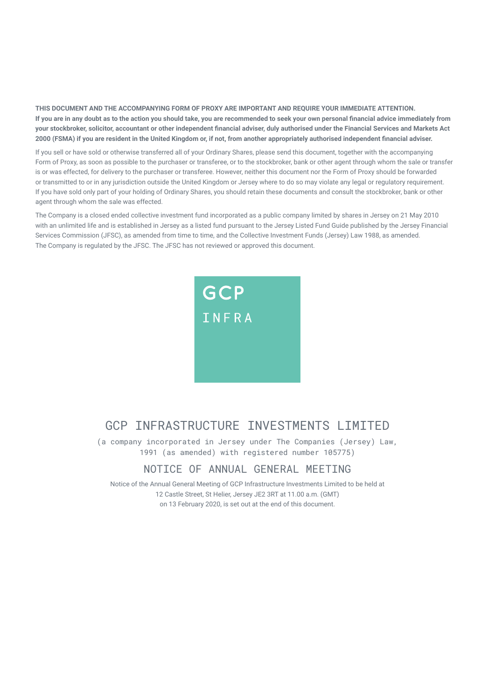**THIS DOCUMENT AND THE ACCOMPANYING FORM OF PROXY ARE IMPORTANT AND REQUIRE YOUR IMMEDIATE ATTENTION. If you are in any doubt as to the action you should take, you are recommended to seek your own personal financial advice immediately from your stockbroker, solicitor, accountant or other independent financial adviser, duly authorised under the Financial Services and Markets Act 2000 (FSMA) if you are resident in the United Kingdom or, if not, from another appropriately authorised independent financial adviser.**

If you sell or have sold or otherwise transferred all of your Ordinary Shares, please send this document, together with the accompanying Form of Proxy, as soon as possible to the purchaser or transferee, or to the stockbroker, bank or other agent through whom the sale or transfer is or was effected, for delivery to the purchaser or transferee. However, neither this document nor the Form of Proxy should be forwarded or transmitted to or in any jurisdiction outside the United Kingdom or Jersey where to do so may violate any legal or regulatory requirement. If you have sold only part of your holding of Ordinary Shares, you should retain these documents and consult the stockbroker, bank or other agent through whom the sale was effected.

The Company is a closed ended collective investment fund incorporated as a public company limited by shares in Jersey on 21 May 2010 with an unlimited life and is established in Jersey as a listed fund pursuant to the Jersey Listed Fund Guide published by the Jersey Financial Services Commission (JFSC), as amended from time to time, and the Collective Investment Funds (Jersey) Law 1988, as amended. The Company is regulated by the JFSC. The JFSC has not reviewed or approved this document.



## GCP INFRASTRUCTURE INVESTMENTS I IMITED

(a company incorporated in Jersey under The Companies (Jersey) Law, 1991 (as amended) with registered number 105775)

### NOTICE OF ANNUAL GENERAL MEETING

Notice of the Annual General Meeting of GCP Infrastructure Investments Limited to be held at 12 Castle Street, St Helier, Jersey JE2 3RT at 11.00 a.m. (GMT) on 13 February 2020, is set out at the end of this document.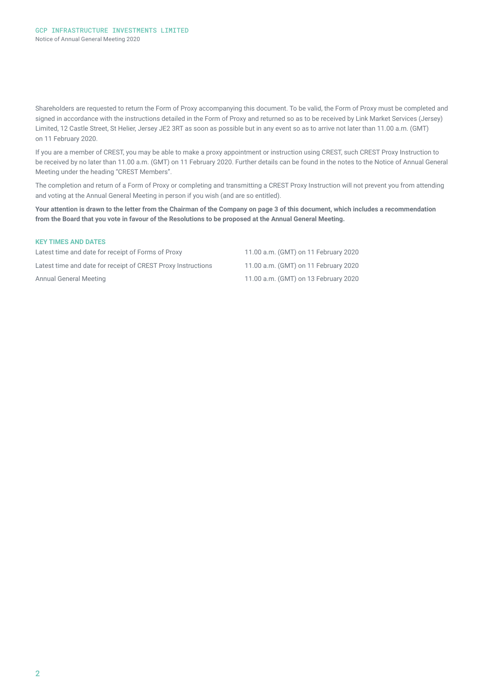Shareholders are requested to return the Form of Proxy accompanying this document. To be valid, the Form of Proxy must be completed and signed in accordance with the instructions detailed in the Form of Proxy and returned so as to be received by Link Market Services (Jersey) Limited, 12 Castle Street, St Helier, Jersey JE2 3RT as soon as possible but in any event so as to arrive not later than 11.00 a.m. (GMT) on 11 February 2020.

If you are a member of CREST, you may be able to make a proxy appointment or instruction using CREST, such CREST Proxy Instruction to be received by no later than 11.00 a.m. (GMT) on 11 February 2020. Further details can be found in the notes to the Notice of Annual General Meeting under the heading "CREST Members".

The completion and return of a Form of Proxy or completing and transmitting a CREST Proxy Instruction will not prevent you from attending and voting at the Annual General Meeting in person if you wish (and are so entitled).

**Your attention is drawn to the letter from the Chairman of the Company on page 3 of this document, which includes a recommendation from the Board that you vote in favour of the Resolutions to be proposed at the Annual General Meeting.** 

#### **KEY TIMES AND DATES**

Latest time and date for receipt of Forms of Proxy 11.00 a.m. (GMT) on 11 February 2020 Latest time and date for receipt of CREST Proxy Instructions 11.00 a.m. (GMT) on 11 February 2020 Annual General Meeting 11.00 a.m. (GMT) on 13 February 2020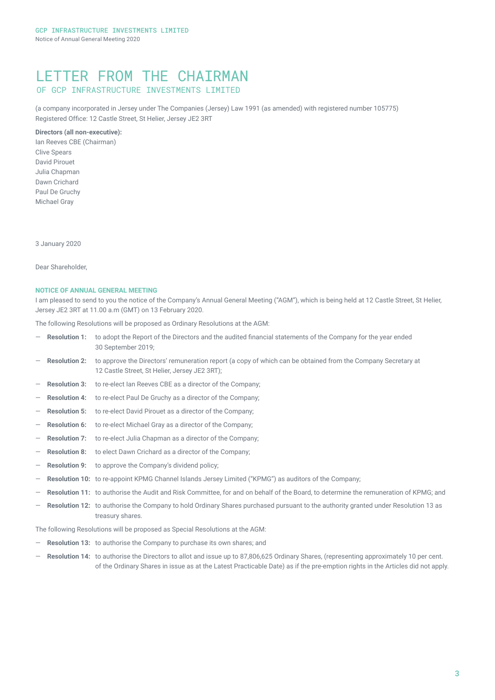### LETTER FROM THE CHAIRMAN OF GCP INFRASTRUCTURE INVESTMENTS LIMITED

(a company incorporated in Jersey under The Companies (Jersey) Law 1991 (as amended) with registered number 105775) Registered Office: 12 Castle Street, St Helier, Jersey JE2 3RT

#### **Directors (all non-executive):**

Ian Reeves CBE (Chairman) Clive Spears David Pirouet Julia Chapman Dawn Crichard Paul De Gruchy Michael Gray

3 January 2020

Dear Shareholder,

#### **NOTICE OF ANNUAL GENERAL MEETING**

I am pleased to send to you the notice of the Company's Annual General Meeting ("AGM"), which is being held at 12 Castle Street, St Helier, Jersey JE2 3RT at 11.00 a.m (GMT) on 13 February 2020.

The following Resolutions will be proposed as Ordinary Resolutions at the AGM:

- ― **Resolution 1:** to adopt the Report of the Directors and the audited financial statements of the Company for the year ended 30 September 2019;
- Resolution 2: to approve the Directors' remuneration report (a copy of which can be obtained from the Company Secretary at 12 Castle Street, St Helier, Jersey JE2 3RT);
- Resolution 3: to re-elect Ian Reeves CBE as a director of the Company;
- Resolution 4: to re-elect Paul De Gruchy as a director of the Company;
- Resolution 5: to re-elect David Pirouet as a director of the Company;
- **Resolution 6:** to re-elect Michael Gray as a director of the Company;
- Resolution 7: to re-elect Julia Chapman as a director of the Company;
- **Resolution 8:** to elect Dawn Crichard as a director of the Company;
- Resolution 9: to approve the Company's dividend policy;
- ― **Resolution 10:** to re-appoint KPMG Channel Islands Jersey Limited ("KPMG") as auditors of the Company;
- Resolution 11: to authorise the Audit and Risk Committee, for and on behalf of the Board, to determine the remuneration of KPMG; and
- ― **Resolution 12:** to authorise the Company to hold Ordinary Shares purchased pursuant to the authority granted under Resolution 13 as treasury shares.

The following Resolutions will be proposed as Special Resolutions at the AGM:

- Resolution 13: to authorise the Company to purchase its own shares; and
- ― **Resolution 14:** to authorise the Directors to allot and issue up to 87,806,625 Ordinary Shares, (representing approximately 10 per cent. of the Ordinary Shares in issue as at the Latest Practicable Date) as if the pre-emption rights in the Articles did not apply.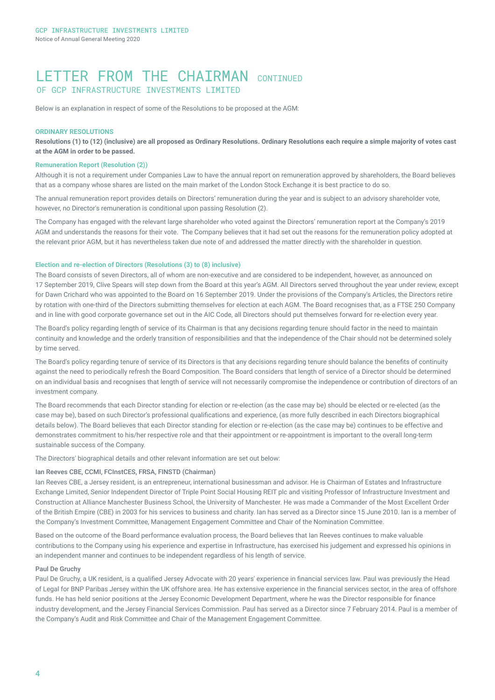## LETTER FROM THE CHAIRMAN CONTINUED OF GCP INFRASTRUCTURE INVESTMENTS LIMITED

Below is an explanation in respect of some of the Resolutions to be proposed at the AGM:

#### **ORDINARY RESOLUTIONS**

**Resolutions (1) to (12) (inclusive) are all proposed as Ordinary Resolutions. Ordinary Resolutions each require a simple majority of votes cast at the AGM in order to be passed.**

#### **Remuneration Report (Resolution (2))**

Although it is not a requirement under Companies Law to have the annual report on remuneration approved by shareholders, the Board believes that as a company whose shares are listed on the main market of the London Stock Exchange it is best practice to do so.

The annual remuneration report provides details on Directors' remuneration during the year and is subject to an advisory shareholder vote, however, no Director's remuneration is conditional upon passing Resolution (2).

The Company has engaged with the relevant large shareholder who voted against the Directors' remuneration report at the Company's 2019 AGM and understands the reasons for their vote. The Company believes that it had set out the reasons for the remuneration policy adopted at the relevant prior AGM, but it has nevertheless taken due note of and addressed the matter directly with the shareholder in question.

#### **Election and re-election of Directors (Resolutions (3) to (8) inclusive)**

The Board consists of seven Directors, all of whom are non-executive and are considered to be independent, however, as announced on 17 September 2019, Clive Spears will step down from the Board at this year's AGM. All Directors served throughout the year under review, except for Dawn Crichard who was appointed to the Board on 16 September 2019. Under the provisions of the Company's Articles, the Directors retire by rotation with one-third of the Directors submitting themselves for election at each AGM. The Board recognises that, as a FTSE 250 Company and in line with good corporate governance set out in the AIC Code, all Directors should put themselves forward for re-election every year.

The Board's policy regarding length of service of its Chairman is that any decisions regarding tenure should factor in the need to maintain continuity and knowledge and the orderly transition of responsibilities and that the independence of the Chair should not be determined solely by time served.

The Board's policy regarding tenure of service of its Directors is that any decisions regarding tenure should balance the benefits of continuity against the need to periodically refresh the Board Composition. The Board considers that length of service of a Director should be determined on an individual basis and recognises that length of service will not necessarily compromise the independence or contribution of directors of an investment company.

The Board recommends that each Director standing for election or re-election (as the case may be) should be elected or re-elected (as the case may be), based on such Director's professional qualifications and experience, (as more fully described in each Directors biographical details below). The Board believes that each Director standing for election or re-election (as the case may be) continues to be effective and demonstrates commitment to his/her respective role and that their appointment or re-appointment is important to the overall long-term sustainable success of the Company.

The Directors' biographical details and other relevant information are set out below:

#### Ian Reeves CBE, CCMI, FCInstCES, FRSA, FINSTD (Chairman)

Ian Reeves CBE, a Jersey resident, is an entrepreneur, international businessman and advisor. He is Chairman of Estates and Infrastructure Exchange Limited, Senior Independent Director of Triple Point Social Housing REIT plc and visiting Professor of Infrastructure Investment and Construction at Alliance Manchester Business School, the University of Manchester. He was made a Commander of the Most Excellent Order of the British Empire (CBE) in 2003 for his services to business and charity. Ian has served as a Director since 15 June 2010. Ian is a member of the Company's Investment Committee, Management Engagement Committee and Chair of the Nomination Committee.

Based on the outcome of the Board performance evaluation process, the Board believes that Ian Reeves continues to make valuable contributions to the Company using his experience and expertise in Infrastructure, has exercised his judgement and expressed his opinions in an independent manner and continues to be independent regardless of his length of service.

#### Paul De Gruchy

Paul De Gruchy, a UK resident, is a qualified Jersey Advocate with 20 years' experience in financial services law. Paul was previously the Head of Legal for BNP Paribas Jersey within the UK offshore area. He has extensive experience in the financial services sector, in the area of offshore funds. He has held senior positions at the Jersey Economic Development Department, where he was the Director responsible for finance industry development, and the Jersey Financial Services Commission. Paul has served as a Director since 7 February 2014. Paul is a member of the Company's Audit and Risk Committee and Chair of the Management Engagement Committee.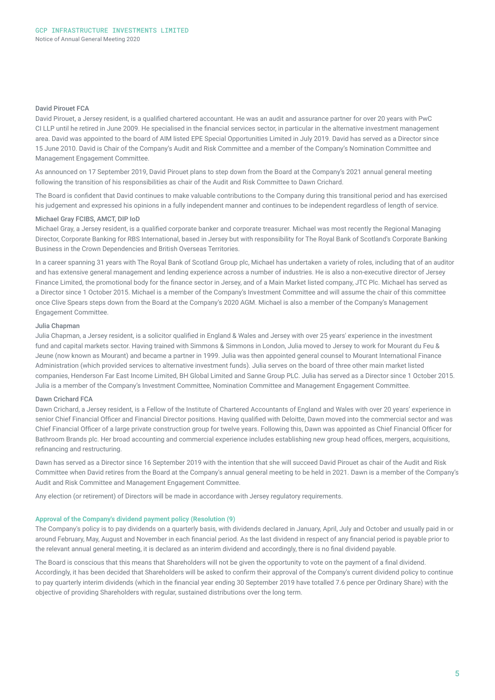#### David Pirouet FCA

David Pirouet, a Jersey resident, is a qualified chartered accountant. He was an audit and assurance partner for over 20 years with PwC CI LLP until he retired in June 2009. He specialised in the financial services sector, in particular in the alternative investment management area. David was appointed to the board of AIM listed EPE Special Opportunities Limited in July 2019. David has served as a Director since 15 June 2010. David is Chair of the Company's Audit and Risk Committee and a member of the Company's Nomination Committee and Management Engagement Committee.

As announced on 17 September 2019, David Pirouet plans to step down from the Board at the Company's 2021 annual general meeting following the transition of his responsibilities as chair of the Audit and Risk Committee to Dawn Crichard.

The Board is confident that David continues to make valuable contributions to the Company during this transitional period and has exercised his judgement and expressed his opinions in a fully independent manner and continues to be independent regardless of length of service.

#### Michael Gray FCIBS, AMCT, DIP IoD

Michael Gray, a Jersey resident, is a qualified corporate banker and corporate treasurer. Michael was most recently the Regional Managing Director, Corporate Banking for RBS International, based in Jersey but with responsibility for The Royal Bank of Scotland's Corporate Banking Business in the Crown Dependencies and British Overseas Territories.

In a career spanning 31 years with The Royal Bank of Scotland Group plc, Michael has undertaken a variety of roles, including that of an auditor and has extensive general management and lending experience across a number of industries. He is also a non-executive director of Jersey Finance Limited, the promotional body for the finance sector in Jersey, and of a Main Market listed company, JTC Plc. Michael has served as a Director since 1 October 2015. Michael is a member of the Company's Investment Committee and will assume the chair of this committee once Clive Spears steps down from the Board at the Company's 2020 AGM. Michael is also a member of the Company's Management Engagement Committee.

#### Julia Chapman

Julia Chapman, a Jersey resident, is a solicitor qualified in England & Wales and Jersey with over 25 years' experience in the investment fund and capital markets sector. Having trained with Simmons & Simmons in London, Julia moved to Jersey to work for Mourant du Feu & Jeune (now known as Mourant) and became a partner in 1999. Julia was then appointed general counsel to Mourant International Finance Administration (which provided services to alternative investment funds). Julia serves on the board of three other main market listed companies, Henderson Far East Income Limited, BH Global Limited and Sanne Group PLC. Julia has served as a Director since 1 October 2015. Julia is a member of the Company's Investment Committee, Nomination Committee and Management Engagement Committee.

#### Dawn Crichard FCA

Dawn Crichard, a Jersey resident, is a Fellow of the Institute of Chartered Accountants of England and Wales with over 20 years' experience in senior Chief Financial Officer and Financial Director positions. Having qualified with Deloitte, Dawn moved into the commercial sector and was Chief Financial Officer of a large private construction group for twelve years. Following this, Dawn was appointed as Chief Financial Officer for Bathroom Brands plc. Her broad accounting and commercial experience includes establishing new group head offices, mergers, acquisitions, refinancing and restructuring.

Dawn has served as a Director since 16 September 2019 with the intention that she will succeed David Pirouet as chair of the Audit and Risk Committee when David retires from the Board at the Company's annual general meeting to be held in 2021. Dawn is a member of the Company's Audit and Risk Committee and Management Engagement Committee.

Any election (or retirement) of Directors will be made in accordance with Jersey regulatory requirements.

#### **Approval of the Company's dividend payment policy (Resolution (9)**

The Company's policy is to pay dividends on a quarterly basis, with dividends declared in January, April, July and October and usually paid in or around February, May, August and November in each financial period. As the last dividend in respect of any financial period is payable prior to the relevant annual general meeting, it is declared as an interim dividend and accordingly, there is no final dividend payable.

The Board is conscious that this means that Shareholders will not be given the opportunity to vote on the payment of a final dividend. Accordingly, it has been decided that Shareholders will be asked to confirm their approval of the Company's current dividend policy to continue to pay quarterly interim dividends (which in the financial year ending 30 September 2019 have totalled 7.6 pence per Ordinary Share) with the objective of providing Shareholders with regular, sustained distributions over the long term.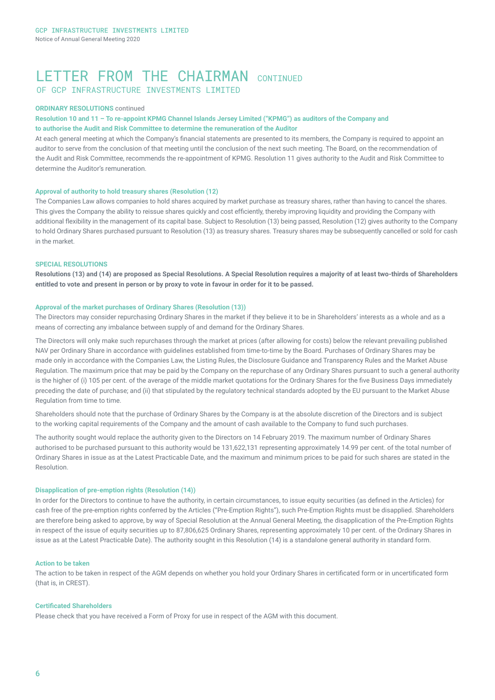## LETTER FROM THE CHATRMAN CONTINUED OF GCP INFRASTRUCTURE INVESTMENTS LIMITED

#### **ORDINARY RESOLUTIONS** continued

#### **Resolution 10 and 11 – To re-appoint KPMG Channel Islands Jersey Limited ("KPMG") as auditors of the Company and to authorise the Audit and Risk Committee to determine the remuneration of the Auditor**

At each general meeting at which the Company's financial statements are presented to its members, the Company is required to appoint an auditor to serve from the conclusion of that meeting until the conclusion of the next such meeting. The Board, on the recommendation of the Audit and Risk Committee, recommends the re‑appointment of KPMG. Resolution 11 gives authority to the Audit and Risk Committee to determine the Auditor's remuneration.

#### **Approval of authority to hold treasury shares (Resolution (12)**

The Companies Law allows companies to hold shares acquired by market purchase as treasury shares, rather than having to cancel the shares. This gives the Company the ability to reissue shares quickly and cost efficiently, thereby improving liquidity and providing the Company with additional flexibility in the management of its capital base. Subject to Resolution (13) being passed, Resolution (12) gives authority to the Company to hold Ordinary Shares purchased pursuant to Resolution (13) as treasury shares. Treasury shares may be subsequently cancelled or sold for cash in the market.

#### **SPECIAL RESOLUTIONS**

**Resolutions (13) and (14) are proposed as Special Resolutions. A Special Resolution requires a majority of at least two-thirds of Shareholders entitled to vote and present in person or by proxy to vote in favour in order for it to be passed.** 

#### **Approval of the market purchases of Ordinary Shares (Resolution (13))**

The Directors may consider repurchasing Ordinary Shares in the market if they believe it to be in Shareholders' interests as a whole and as a means of correcting any imbalance between supply of and demand for the Ordinary Shares.

The Directors will only make such repurchases through the market at prices (after allowing for costs) below the relevant prevailing published NAV per Ordinary Share in accordance with guidelines established from time-to-time by the Board. Purchases of Ordinary Shares may be made only in accordance with the Companies Law, the Listing Rules, the Disclosure Guidance and Transparency Rules and the Market Abuse Regulation. The maximum price that may be paid by the Company on the repurchase of any Ordinary Shares pursuant to such a general authority is the higher of (i) 105 per cent, of the average of the middle market quotations for the Ordinary Shares for the five Business Days immediately preceding the date of purchase; and (ii) that stipulated by the regulatory technical standards adopted by the EU pursuant to the Market Abuse Regulation from time to time.

Shareholders should note that the purchase of Ordinary Shares by the Company is at the absolute discretion of the Directors and is subject to the working capital requirements of the Company and the amount of cash available to the Company to fund such purchases.

The authority sought would replace the authority given to the Directors on 14 February 2019. The maximum number of Ordinary Shares authorised to be purchased pursuant to this authority would be 131,622,131 representing approximately 14.99 per cent. of the total number of Ordinary Shares in issue as at the Latest Practicable Date, and the maximum and minimum prices to be paid for such shares are stated in the Resolution.

#### **Disapplication of pre-emption rights (Resolution (14))**

In order for the Directors to continue to have the authority, in certain circumstances, to issue equity securities (as defined in the Articles) for cash free of the pre-emption rights conferred by the Articles ("Pre-Emption Rights"), such Pre-Emption Rights must be disapplied. Shareholders are therefore being asked to approve, by way of Special Resolution at the Annual General Meeting, the disapplication of the Pre-Emption Rights in respect of the issue of equity securities up to 87,806,625 Ordinary Shares, representing approximately 10 per cent. of the Ordinary Shares in issue as at the Latest Practicable Date). The authority sought in this Resolution (14) is a standalone general authority in standard form.

#### **Action to be taken**

The action to be taken in respect of the AGM depends on whether you hold your Ordinary Shares in certificated form or in uncertificated form (that is, in CREST).

#### **Certificated Shareholders**

Please check that you have received a Form of Proxy for use in respect of the AGM with this document.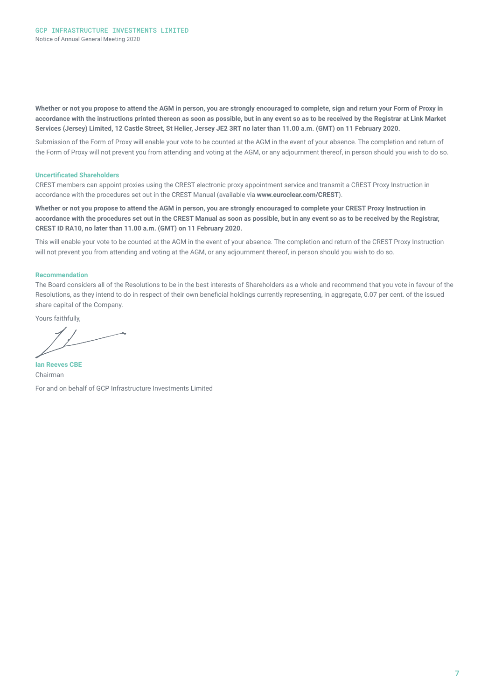**Whether or not you propose to attend the AGM in person, you are strongly encouraged to complete, sign and return your Form of Proxy in accordance with the instructions printed thereon as soon as possible, but in any event so as to be received by the Registrar at Link Market Services (Jersey) Limited, 12 Castle Street, St Helier, Jersey JE2 3RT no later than 11.00 a.m. (GMT) on 11 February 2020.**

Submission of the Form of Proxy will enable your vote to be counted at the AGM in the event of your absence. The completion and return of the Form of Proxy will not prevent you from attending and voting at the AGM, or any adjournment thereof, in person should you wish to do so.

#### **Uncertificated Shareholders**

CREST members can appoint proxies using the CREST electronic proxy appointment service and transmit a CREST Proxy Instruction in accordance with the procedures set out in the CREST Manual (available via **www.euroclear.com/CREST**).

**Whether or not you propose to attend the AGM in person, you are strongly encouraged to complete your CREST Proxy Instruction in accordance with the procedures set out in the CREST Manual as soon as possible, but in any event so as to be received by the Registrar, CREST ID RA10, no later than 11.00 a.m. (GMT) on 11 February 2020.**

This will enable your vote to be counted at the AGM in the event of your absence. The completion and return of the CREST Proxy Instruction will not prevent you from attending and voting at the AGM, or any adjournment thereof, in person should you wish to do so.

#### **Recommendation**

The Board considers all of the Resolutions to be in the best interests of Shareholders as a whole and recommend that you vote in favour of the Resolutions, as they intend to do in respect of their own beneficial holdings currently representing, in aggregate, 0.07 per cent. of the issued share capital of the Company.

Yours faithfully,

**Ian Reeves CBE**  Chairman For and on behalf of GCP Infrastructure Investments Limited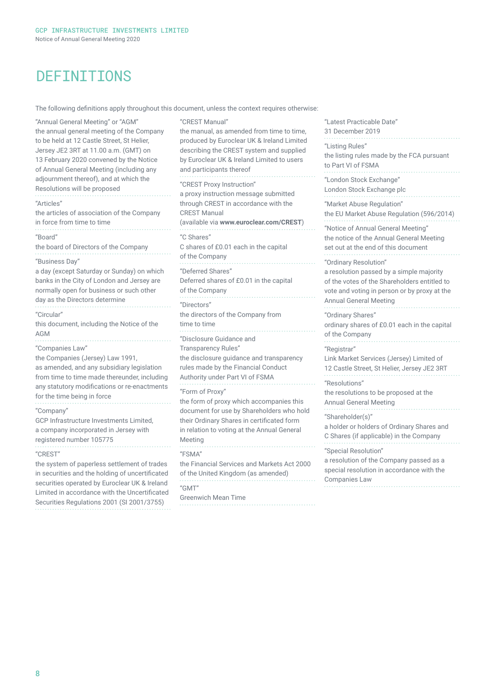## **DEFINITIONS**

The following definitions apply throughout this document, unless the context requires otherwise:

"Annual General Meeting" or "AGM" the annual general meeting of the Company to be held at 12 Castle Street, St Helier, Jersey JE2 3RT at 11.00 a.m. (GMT) on 13 February 2020 convened by the Notice of Annual General Meeting (including any adjournment thereof), and at which the Resolutions will be proposed "Articles" the articles of association of the Company in force from time to time "Board" the board of Directors of the Company "Business Day" a day (except Saturday or Sunday) on which banks in the City of London and Jersey are normally open for business or such other day as the Directors determine "Circular" this document, including the Notice of the AGM "Companies Law" the Companies (Jersey) Law 1991, as amended, and any subsidiary legislation from time to time made thereunder, including any statutory modifications or re-enactments for the time being in force "Company" GCP Infrastructure Investments Limited, a company incorporated in Jersey with registered number 105775 "CREST" the system of paperless settlement of trades in securities and the holding of uncertificated securities operated by Euroclear UK & Ireland Limited in accordance with the Uncertificated Securities Regulations 2001 (SI 2001/3755) "C Shares" "Directors" Meeting "FSMA" "GMT"

"CREST Manual" the manual, as amended from time to time, produced by Euroclear UK & Ireland Limited describing the CREST system and supplied by Euroclear UK & Ireland Limited to users and participants thereof "CREST Proxy Instruction" a proxy instruction message submitted through CREST in accordance with the CREST Manual (available via **www.euroclear.com/CREST**) C shares of £0.01 each in the capital of the Company "Deferred Shares" Deferred shares of £0.01 in the capital of the Company the directors of the Company from time to time "Disclosure Guidance and Transparency Rules" the disclosure guidance and transparency rules made by the Financial Conduct Authority under Part VI of FSMA "Form of Proxy" the form of proxy which accompanies this document for use by Shareholders who hold their Ordinary Shares in certificated form in relation to voting at the Annual General the Financial Services and Markets Act 2000 of the United Kingdom (as amended) Greenwich Mean Time

"Latest Practicable Date" 31 December 2019 "Listing Rules" the listing rules made by the FCA pursuant to Part VI of FSMA "London Stock Exchange" London Stock Exchange plc "Market Abuse Regulation" the EU Market Abuse Regulation (596/2014) "Notice of Annual General Meeting" the notice of the Annual General Meeting set out at the end of this document "Ordinary Resolution" a resolution passed by a simple majority of the votes of the Shareholders entitled to vote and voting in person or by proxy at the Annual General Meeting "Ordinary Shares" ordinary shares of £0.01 each in the capital of the Company "Registrar" Link Market Services (Jersey) Limited of 12 Castle Street, St Helier, Jersey JE2 3RT "Resolutions" the resolutions to be proposed at the Annual General Meeting "Shareholder(s)" a holder or holders of Ordinary Shares and C Shares (if applicable) in the Company "Special Resolution" a resolution of the Company passed as a special resolution in accordance with the Companies Law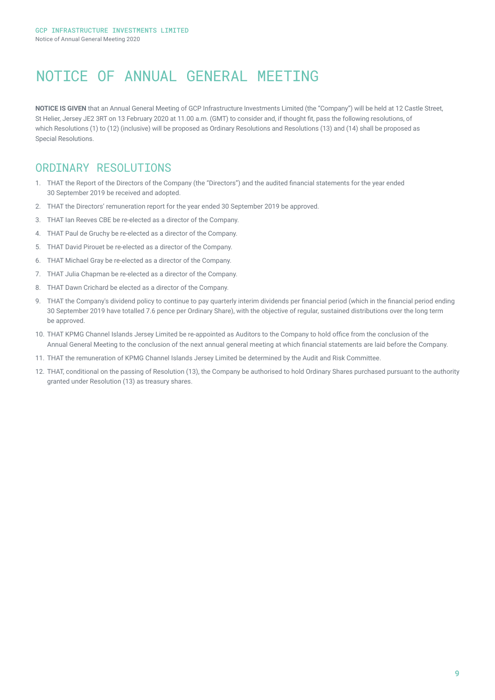# NOTICE OF ANNUAL GENERAL MEETING

**NOTICE IS GIVEN** that an Annual General Meeting of GCP Infrastructure Investments Limited (the "Company") will be held at 12 Castle Street, St Helier, Jersey JE2 3RT on 13 February 2020 at 11.00 a.m. (GMT) to consider and, if thought fit, pass the following resolutions, of which Resolutions (1) to (12) (inclusive) will be proposed as Ordinary Resolutions and Resolutions (13) and (14) shall be proposed as Special Resolutions.

## ORDINARY RESOLUTIONS

- 1. THAT the Report of the Directors of the Company (the "Directors") and the audited financial statements for the year ended 30 September 2019 be received and adopted.
- 2. THAT the Directors' remuneration report for the year ended 30 September 2019 be approved.
- 3. THAT Ian Reeves CBE be re-elected as a director of the Company.
- 4. THAT Paul de Gruchy be re-elected as a director of the Company.
- 5. THAT David Pirouet be re-elected as a director of the Company.
- 6. THAT Michael Gray be re-elected as a director of the Company.
- 7. THAT Julia Chapman be re-elected as a director of the Company.
- 8. THAT Dawn Crichard be elected as a director of the Company.
- 9. THAT the Company's dividend policy to continue to pay quarterly interim dividends per financial period (which in the financial period ending 30 September 2019 have totalled 7.6 pence per Ordinary Share), with the objective of regular, sustained distributions over the long term be approved.
- 10. THAT KPMG Channel Islands Jersey Limited be re-appointed as Auditors to the Company to hold office from the conclusion of the Annual General Meeting to the conclusion of the next annual general meeting at which financial statements are laid before the Company.
- 11. THAT the remuneration of KPMG Channel Islands Jersey Limited be determined by the Audit and Risk Committee.
- 12. THAT, conditional on the passing of Resolution (13), the Company be authorised to hold Ordinary Shares purchased pursuant to the authority granted under Resolution (13) as treasury shares.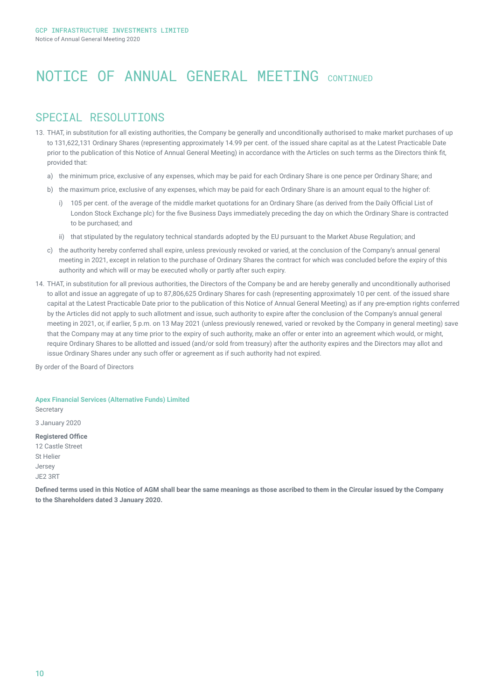## NOTICE OF ANNUAL GENERAL MEETING CONTINUED

## SPECTAL RESOLUTTONS

- 13. THAT, in substitution for all existing authorities, the Company be generally and unconditionally authorised to make market purchases of up to 131,622,131 Ordinary Shares (representing approximately 14.99 per cent. of the issued share capital as at the Latest Practicable Date prior to the publication of this Notice of Annual General Meeting) in accordance with the Articles on such terms as the Directors think fit, provided that:
	- a) the minimum price, exclusive of any expenses, which may be paid for each Ordinary Share is one pence per Ordinary Share; and
	- b) the maximum price, exclusive of any expenses, which may be paid for each Ordinary Share is an amount equal to the higher of:
		- i) 105 per cent. of the average of the middle market quotations for an Ordinary Share (as derived from the Daily Official List of London Stock Exchange plc) for the five Business Days immediately preceding the day on which the Ordinary Share is contracted to be purchased; and
		- ii) that stipulated by the regulatory technical standards adopted by the EU pursuant to the Market Abuse Regulation; and
	- c) the authority hereby conferred shall expire, unless previously revoked or varied, at the conclusion of the Company's annual general meeting in 2021, except in relation to the purchase of Ordinary Shares the contract for which was concluded before the expiry of this authority and which will or may be executed wholly or partly after such expiry.
- 14. THAT, in substitution for all previous authorities, the Directors of the Company be and are hereby generally and unconditionally authorised to allot and issue an aggregate of up to 87,806,625 Ordinary Shares for cash (representing approximately 10 per cent. of the issued share capital at the Latest Practicable Date prior to the publication of this Notice of Annual General Meeting) as if any pre-emption rights conferred by the Articles did not apply to such allotment and issue, such authority to expire after the conclusion of the Company's annual general meeting in 2021, or, if earlier, 5 p.m. on 13 May 2021 (unless previously renewed, varied or revoked by the Company in general meeting) save that the Company may at any time prior to the expiry of such authority, make an offer or enter into an agreement which would, or might, require Ordinary Shares to be allotted and issued (and/or sold from treasury) after the authority expires and the Directors may allot and issue Ordinary Shares under any such offer or agreement as if such authority had not expired.

By order of the Board of Directors

#### **Apex Financial Services (Alternative Funds) Limited**

**Secretary** 

3 January 2020

**Registered Office** 12 Castle Street

St Helier Jersey

JE2 3RT

**Defined terms used in this Notice of AGM shall bear the same meanings as those ascribed to them in the Circular issued by the Company to the Shareholders dated 3 January 2020.**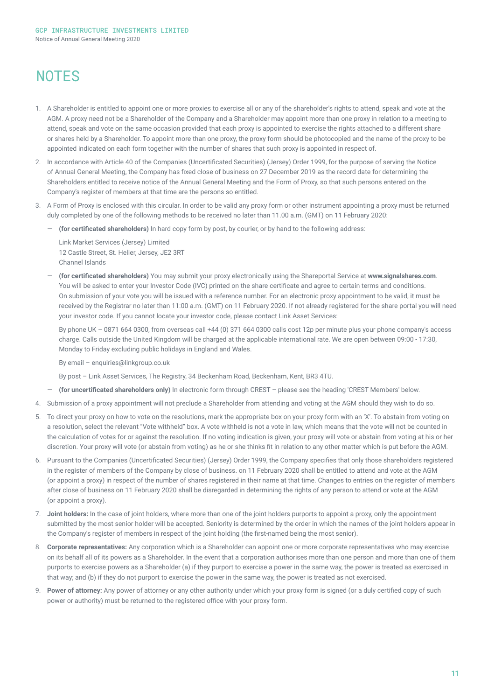# **NOTES**

- 1. A Shareholder is entitled to appoint one or more proxies to exercise all or any of the shareholder's rights to attend, speak and vote at the AGM. A proxy need not be a Shareholder of the Company and a Shareholder may appoint more than one proxy in relation to a meeting to attend, speak and vote on the same occasion provided that each proxy is appointed to exercise the rights attached to a different share or shares held by a Shareholder. To appoint more than one proxy, the proxy form should be photocopied and the name of the proxy to be appointed indicated on each form together with the number of shares that such proxy is appointed in respect of.
- 2. In accordance with Article 40 of the Companies (Uncertificated Securities) (Jersey) Order 1999, for the purpose of serving the Notice of Annual General Meeting, the Company has fixed close of business on 27 December 2019 as the record date for determining the Shareholders entitled to receive notice of the Annual General Meeting and the Form of Proxy, so that such persons entered on the Company's register of members at that time are the persons so entitled.
- 3. A Form of Proxy is enclosed with this circular. In order to be valid any proxy form or other instrument appointing a proxy must be returned duly completed by one of the following methods to be received no later than 11.00 a.m. (GMT) on 11 February 2020:
	- ― **(for certificated shareholders)** In hard copy form by post, by courier, or by hand to the following address:

Link Market Services (Jersey) Limited 12 Castle Street, St. Helier, Jersey, JE2 3RT Channel Islands

― **(for certificated shareholders)** You may submit your proxy electronically using the Shareportal Service at **www.signalshares.com**. You will be asked to enter your Investor Code (IVC) printed on the share certificate and agree to certain terms and conditions. On submission of your vote you will be issued with a reference number. For an electronic proxy appointment to be valid, it must be received by the Registrar no later than 11:00 a.m. (GMT) on 11 February 2020. If not already registered for the share portal you will need your investor code. If you cannot locate your investor code, please contact Link Asset Services:

By phone UK – 0871 664 0300, from overseas call +44 (0) 371 664 0300 calls cost 12p per minute plus your phone company's access charge. Calls outside the United Kingdom will be charged at the applicable international rate. We are open between 09:00 - 17:30, Monday to Friday excluding public holidays in England and Wales.

By email – enquiries@linkgroup.co.uk

- By post Link Asset Services, The Registry, 34 Beckenham Road, Beckenham, Kent, BR3 4TU.
- ― **(for uncertificated shareholders only)** In electronic form through CREST please see the heading 'CREST Members' below.
- 4. Submission of a proxy appointment will not preclude a Shareholder from attending and voting at the AGM should they wish to do so.
- 5. To direct your proxy on how to vote on the resolutions, mark the appropriate box on your proxy form with an 'X'. To abstain from voting on a resolution, select the relevant "Vote withheld" box. A vote withheld is not a vote in law, which means that the vote will not be counted in the calculation of votes for or against the resolution. If no voting indication is given, your proxy will vote or abstain from voting at his or her discretion. Your proxy will vote (or abstain from voting) as he or she thinks fit in relation to any other matter which is put before the AGM.
- 6. Pursuant to the Companies (Uncertificated Securities) (Jersey) Order 1999, the Company specifies that only those shareholders registered in the register of members of the Company by close of business. on 11 February 2020 shall be entitled to attend and vote at the AGM (or appoint a proxy) in respect of the number of shares registered in their name at that time. Changes to entries on the register of members after close of business on 11 February 2020 shall be disregarded in determining the rights of any person to attend or vote at the AGM (or appoint a proxy).
- 7. **Joint holders:** In the case of joint holders, where more than one of the joint holders purports to appoint a proxy, only the appointment submitted by the most senior holder will be accepted. Seniority is determined by the order in which the names of the joint holders appear in the Company's register of members in respect of the joint holding (the first-named being the most senior).
- 8. **Corporate representatives:** Any corporation which is a Shareholder can appoint one or more corporate representatives who may exercise on its behalf all of its powers as a Shareholder. In the event that a corporation authorises more than one person and more than one of them purports to exercise powers as a Shareholder (a) if they purport to exercise a power in the same way, the power is treated as exercised in that way; and (b) if they do not purport to exercise the power in the same way, the power is treated as not exercised.
- 9. **Power of attorney:** Any power of attorney or any other authority under which your proxy form is signed (or a duly certified copy of such power or authority) must be returned to the registered office with your proxy form.